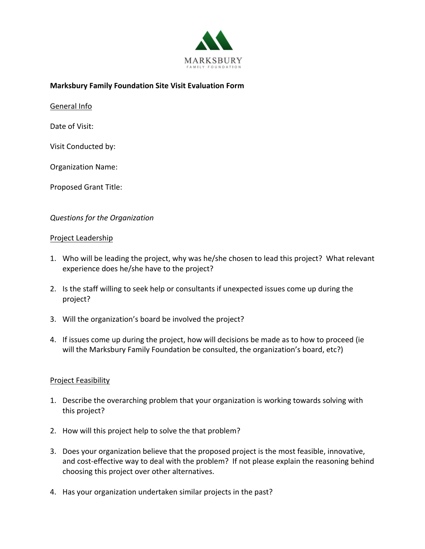

## **Marksbury Family Foundation Site Visit Evaluation Form**

General Info

Date of Visit:

Visit Conducted by:

Organization Name:

Proposed Grant Title:

### *Questions for the Organization*

#### Project Leadership

- 1. Who will be leading the project, why was he/she chosen to lead this project? What relevant experience does he/she have to the project?
- 2. Is the staff willing to seek help or consultants if unexpected issues come up during the project?
- 3. Will the organization's board be involved the project?
- 4. If issues come up during the project, how will decisions be made as to how to proceed (ie will the Marksbury Family Foundation be consulted, the organization's board, etc?)

#### Project Feasibility

- 1. Describe the overarching problem that your organization is working towards solving with this project?
- 2. How will this project help to solve the that problem?
- 3. Does your organization believe that the proposed project is the most feasible, innovative, and cost-effective way to deal with the problem? If not please explain the reasoning behind choosing this project over other alternatives.
- 4. Has your organization undertaken similar projects in the past?